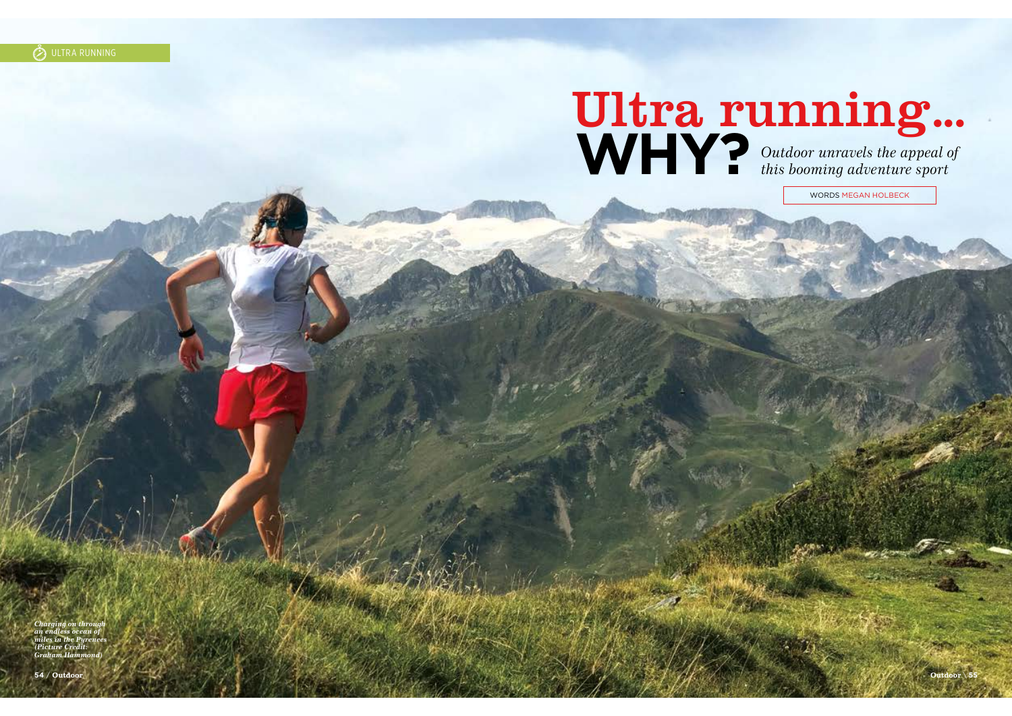# **WHY?** Outdoor unravels the appeal of  $\mathbf{WHY}$ ? Outdoor unravels the appeal of

WORDS MEGAN HOLBECK

*Charging on through an endless ocean of miles in the Pyrenees*  Picture Cr *Graham Hammond)*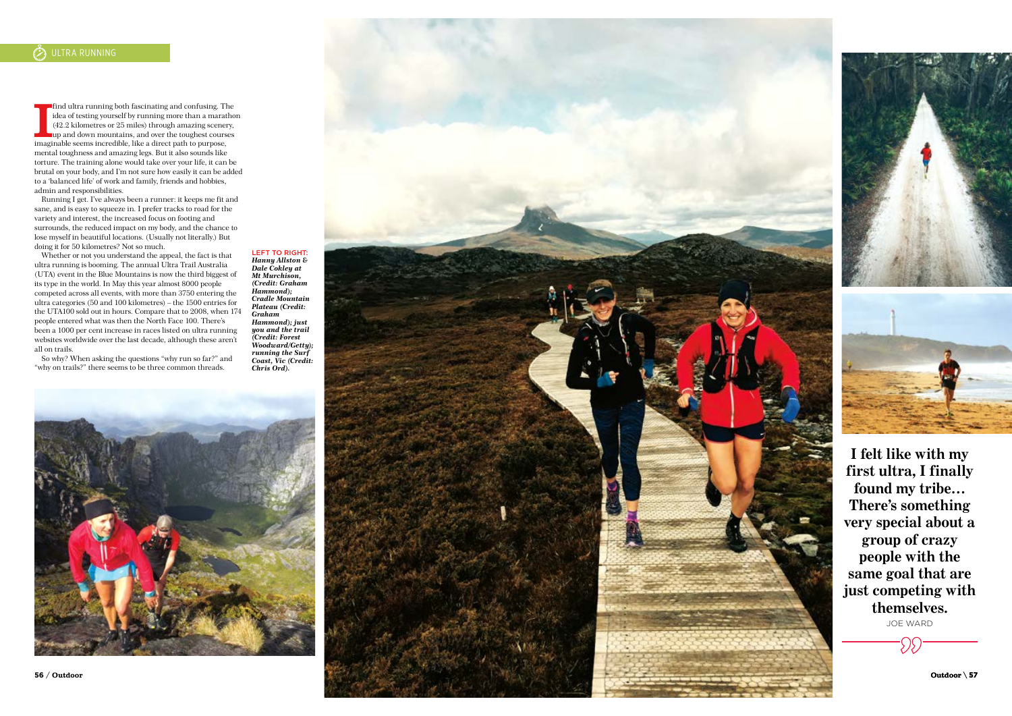If indultra running both fascinating and confusing. The idea of testing yourself by running more than a marathon (42.2 kilometres or 25 miles) through amazing scenery, up and down mountains, and over the toughest courses imaginable seems incredible, like a direct path to purpose, mental toughness and amazing legs. But it also sounds like torture. The training alone would take over your life, it can be brutal on your body, and I'm not sure how easily it can be added to a 'balanced life' of work and family, friends and hobbies, admin and responsibilities.

Running I get. I've always been a runner: it keeps me fit and sane, and is easy to squeeze in. I prefer tracks to road for the variety and interest, the increased focus on footing and surrounds, the reduced impact on my body, and the chance to lose myself in beautiful locations. (Usually not literally.) But doing it for 50 kilometres? Not so much.

Whether or not you understand the appeal, the fact is that ultra running is booming. The annual Ultra Trail Australia (UTA) event in the Blue Mountains is now the third biggest of its type in the world. In May this year almost 8000 people competed across all events, with more than 3750 entering the ultra categories (50 and 100 kilometres) – the 1500 entries for the UTA100 sold out in hours. Compare that to 2008, when 174 people entered what was then the North Face 100. There's been a 1000 per cent increase in races listed on ultra running websites worldwide over the last decade, although these aren't all on trails.

So why? When asking the questions "why run so far?" and "why on trails?" there seems to be three common threads.

*Hanny Allston & Dale Cokley at Mt Murchison, (Credit: Graham Hammond); Cradle Mountain Plateau (Credit: Graham Hammond); just you and the trail (Credit: Forest Woodward/Getty); running the Surf Coast, Vic (Credit: Chris Ord).*

LEFT TO RIGHT:







**I felt like with my first ultra, I finally found my tribe… There's something very special about a group of crazy people with the same goal that are just competing with themselves.** JOE WARD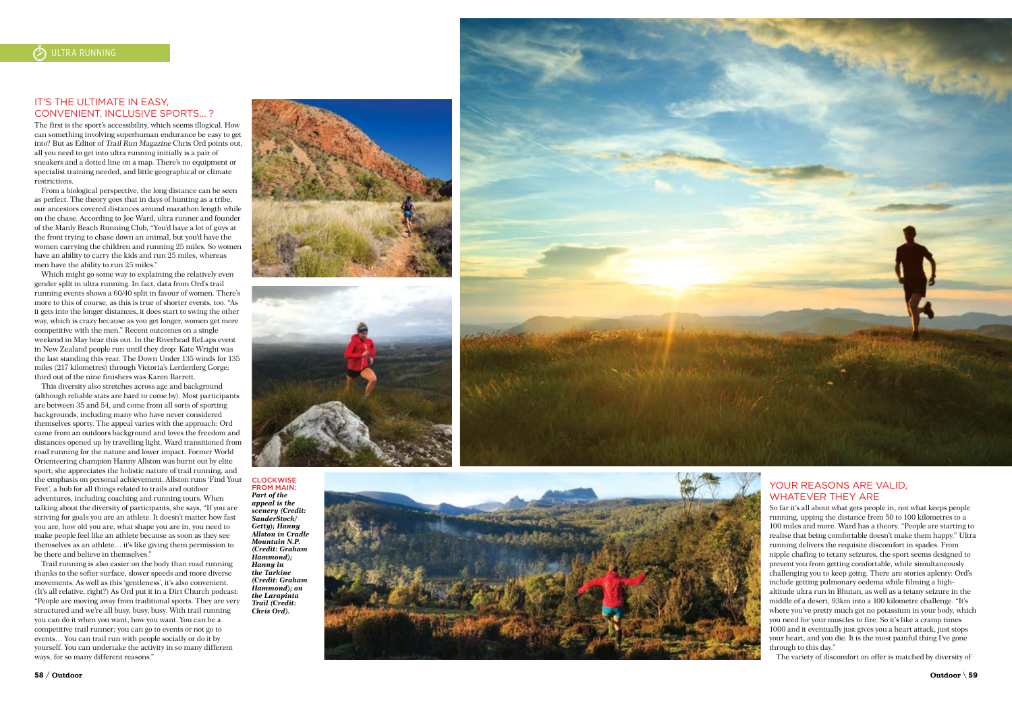# IT'S THE ULTIMATE IN FASY. CONVENIENT, INCLUSIVE SPORTS… ?

The first is the sport's accessibility, which seems illogical. How can something involving superhuman endurance be easy to get into? But as Editor of Trail Run Magazine Chris Ord points out, all you need to get into ultra running initially is a pair of sneakers and a dotted line on a map. There's no equipment or specialist training needed, and little geographical or climate restrictions.

From a biological perspective, the long distance can be seen as perfect. The theory goes that in days of hunting as a tribe, our ancestors covered distances around marathon length while on the chase. According to Joe Ward, ultra runner and founder of the Manly Beach Running Club, "You'd have a lot of guys at the front trying to chase down an animal, but you'd have the women carrying the children and running 25 miles. So women have an ability to carry the kids and run 25 miles, whereas men have the ability to run 25 miles."

Which might go some way to explaining the relatively even gender split in ultra running. In fact, data from Ord's trail running events shows a 60/40 split in favour of women. There's more to this of course, as this is true of shorter events, too. "As it gets into the longer distances, it does start to swing the other way, which is crazy because as you get longer, women get more competitive with the men." Recent outcomes on a single weekend in May bear this out. In the Riverhead ReLaps event in New Zealand people run until they drop: Kate Wright was the last standing this year. The Down Under 135 winds for 135 miles (217 kilometres) through Victoria's Lerderderg Gorge; third out of the nine finishers was Karen Barrett.

This diversity also stretches across age and background (although reliable stats are hard to come by). Most participants are between 35 and 54, and come from all sorts of sporting backgrounds, including many who have never considered themselves sporty. The appeal varies with the approach: Ord came from an outdoors background and loves the freedom and distances opened up by travelling light. Ward transitioned from road running for the nature and lower impact. Former World Orienteering champion Hanny Allston was burnt out by elite sport; she appreciates the holistic nature of trail running, and the emphasis on personal achievement. Allston runs 'Find Your Feet', a hub for all things related to trails and outdoor adventures, including coaching and running tours. When talking about the diversity of participants, she says, "If you are striving for goals you are an athlete. It doesn't matter how fast you are, how old you are, what shape you are in, you need to make people feel like an athlete because as soon as they see themselves as an athlete… it's like giving them permission to be there and believe in themselves.

Trail running is also easier on the body than road running thanks to the softer surface, slower speeds and more diverse movements. As well as this 'gentleness', it's also convenient. (It's all relative, right?) As Ord put it in a Dirt Church podcast: "People are moving away from traditional sports. They are very structured and we're all busy, busy, busy. With trail running you can do it when you want, how you want. You can be a competitive trail runner; you can go to events or not go to events… You can trail run with people socially or do it by yourself. You can undertake the activity in so many different ways, for so many different reasons."





CLOCKWISE FROM MAIN: *Part of the appeal is the scenery (Credit: SanderStock/ Getty); Hanny Allston in Cradle Mountain N.P. (Credit: Graham Hammond); Hanny in the Tarkine (Credit: Graham Hammond); on the Larapinta Trail (Credit: Chris Ord).*





# YOUR REASONS ARE VALID. WHATEVER THEY ARE

So far it's all about what gets people in, not what keeps people running, upping the distance from 50 to 100 kilometres to a 100 miles and more. Ward has a theory. "People are starting to realise that being comfortable doesn't make them happy." Ultra running delivers the requisite discomfort in spades. From nipple chafing to tetany seizures, the sport seems designed to prevent you from getting comfortable, while simultaneously challenging you to keep going. There are stories aplenty: Ord's include getting pulmonary oedema while filming a highaltitude ultra run in Bhutan, as well as a tetany seizure in the middle of a desert, 93km into a 100 kilometre challenge. "It's where you've pretty much got no potassium in your body, which you need for your muscles to fire. So it's like a cramp times 1000 and it eventually just gives you a heart attack, just stops your heart, and you die. It is the most painful thing I've gone through to this day."

The variety of discomfort on offer is matched by diversity of